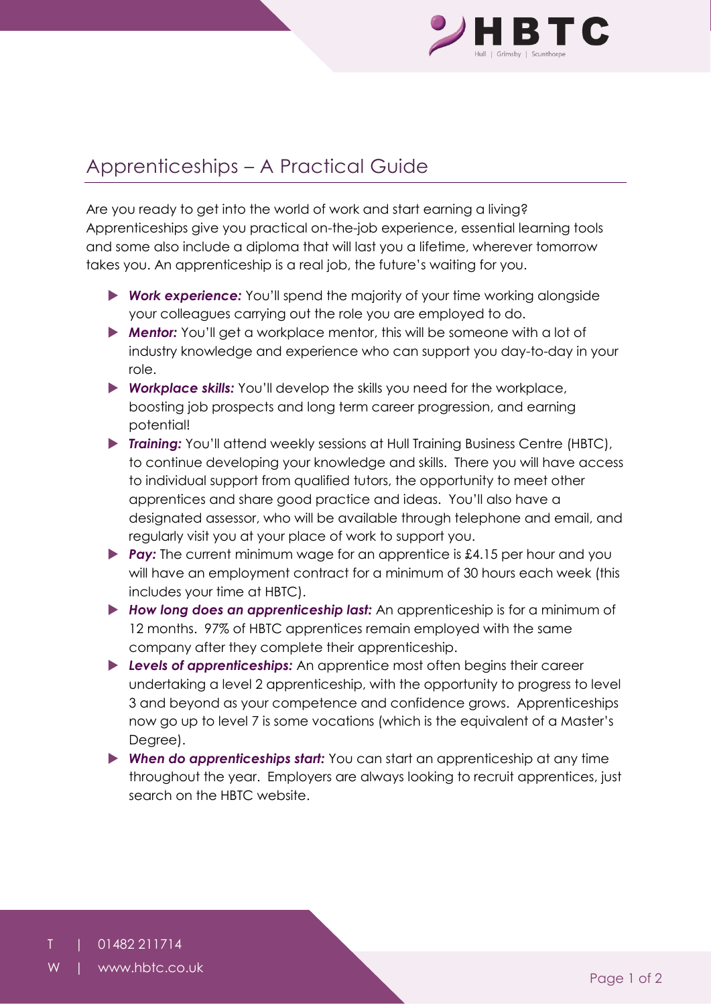

## Apprenticeships – A Practical Guide

Are you ready to get into the world of work and start earning a living? Apprenticeships give you practical on-the-job experience, essential learning tools and some also include a diploma that will last you a lifetime, wherever tomorrow takes you. An apprenticeship is a real job, the future's waiting for you.

- *Work experience:* You'll spend the majority of your time working alongside your colleagues carrying out the role you are employed to do.
- ▶ **Mentor:** You'll get a workplace mentor, this will be someone with a lot of industry knowledge and experience who can support you day-to-day in your role.
- *Workplace skills:* You'll develop the skills you need for the workplace, boosting job prospects and long term career progression, and earning potential!
- **Training:** You'll attend weekly sessions at Hull Training Business Centre (HBTC), to continue developing your knowledge and skills. There you will have access to individual support from qualified tutors, the opportunity to meet other apprentices and share good practice and ideas. You'll also have a designated assessor, who will be available through telephone and email, and regularly visit you at your place of work to support you.
- **Pay:** The current minimum wage for an apprentice is £4.15 per hour and you will have an employment contract for a minimum of 30 hours each week (this includes your time at HBTC).
- *How long does an apprenticeship last:* An apprenticeship is for a minimum of 12 months. 97% of HBTC apprentices remain employed with the same company after they complete their apprenticeship.
- *Levels of apprenticeships:* An apprentice most often begins their career undertaking a level 2 apprenticeship, with the opportunity to progress to level 3 and beyond as your competence and confidence grows. Apprenticeships now go up to level 7 is some vocations (which is the equivalent of a Master's Degree).
- *When do apprenticeships start:* You can start an apprenticeship at any time throughout the year. Employers are always looking to recruit apprentices, just search on the HBTC website.